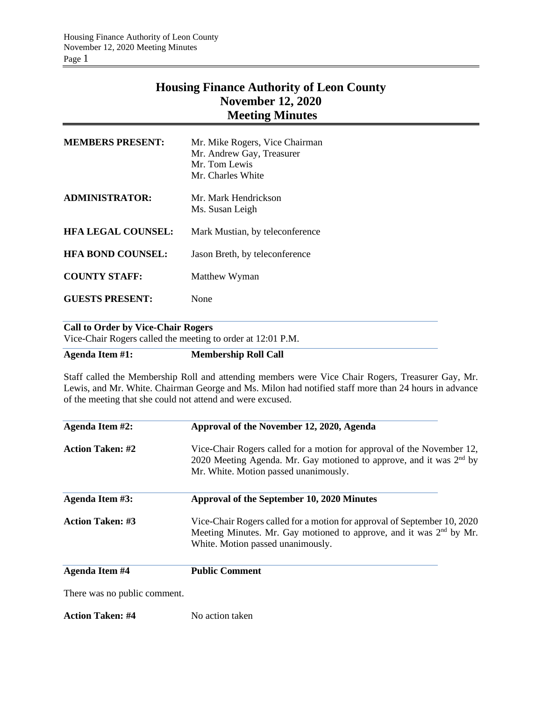# **Housing Finance Authority of Leon County November 12, 2020 Meeting Minutes**

| <b>MEMBERS PRESENT:</b>   | Mr. Mike Rogers, Vice Chairman<br>Mr. Andrew Gay, Treasurer<br>Mr. Tom Lewis<br>Mr. Charles White |
|---------------------------|---------------------------------------------------------------------------------------------------|
| <b>ADMINISTRATOR:</b>     | Mr. Mark Hendrickson<br>Ms. Susan Leigh                                                           |
| <b>HFA LEGAL COUNSEL:</b> | Mark Mustian, by teleconference                                                                   |
| <b>HFA BOND COUNSEL:</b>  | Jason Breth, by teleconference                                                                    |
| <b>COUNTY STAFF:</b>      | Matthew Wyman                                                                                     |
| <b>GUESTS PRESENT:</b>    | None                                                                                              |
|                           |                                                                                                   |

## **Call to Order by Vice-Chair Rogers**

Vice-Chair Rogers called the meeting to order at 12:01 P.M.

# **Agenda Item #1: Membership Roll Call**

Staff called the Membership Roll and attending members were Vice Chair Rogers, Treasurer Gay, Mr. Lewis, and Mr. White. Chairman George and Ms. Milon had notified staff more than 24 hours in advance of the meeting that she could not attend and were excused.

| Agenda Item #2:         | Approval of the November 12, 2020, Agenda<br>Vice-Chair Rogers called for a motion for approval of the November 12,<br>2020 Meeting Agenda. Mr. Gay motioned to approve, and it was $2nd$ by<br>Mr. White. Motion passed unanimously. |  |  |
|-------------------------|---------------------------------------------------------------------------------------------------------------------------------------------------------------------------------------------------------------------------------------|--|--|
| <b>Action Taken: #2</b> |                                                                                                                                                                                                                                       |  |  |
| Agenda Item #3:         | Approval of the September 10, 2020 Minutes                                                                                                                                                                                            |  |  |
| <b>Action Taken: #3</b> | Vice-Chair Rogers called for a motion for approval of September 10, 2020<br>Meeting Minutes. Mr. Gay motioned to approve, and it was 2 <sup>nd</sup> by Mr.<br>White. Motion passed unanimously.                                      |  |  |
| <b>Agenda Item #4</b>   | <b>Public Comment</b>                                                                                                                                                                                                                 |  |  |

There was no public comment.

**Action Taken: #4** No action taken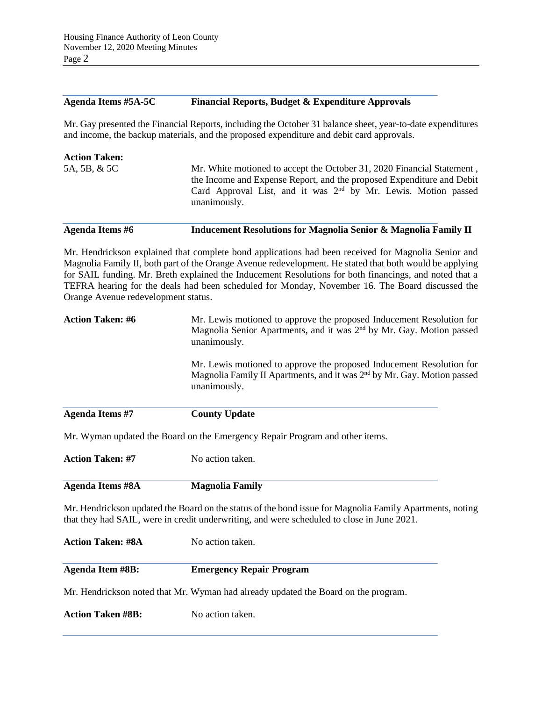#### **Agenda Items #5A-5C Financial Reports, Budget & Expenditure Approvals**

Mr. Gay presented the Financial Reports, including the October 31 balance sheet, year-to-date expenditures and income, the backup materials, and the proposed expenditure and debit card approvals.

| <b>Action Taken:</b> |                                                                                  |
|----------------------|----------------------------------------------------------------------------------|
| 5A, 5B, & 5C         | Mr. White motioned to accept the October 31, 2020 Financial Statement,           |
|                      | the Income and Expense Report, and the proposed Expenditure and Debit            |
|                      | Card Approval List, and it was $2nd$ by Mr. Lewis. Motion passed<br>unanimously. |

### **Agenda Items #6 Inducement Resolutions for Magnolia Senior & Magnolia Family II**

Mr. Hendrickson explained that complete bond applications had been received for Magnolia Senior and Magnolia Family II, both part of the Orange Avenue redevelopment. He stated that both would be applying for SAIL funding. Mr. Breth explained the Inducement Resolutions for both financings, and noted that a TEFRA hearing for the deals had been scheduled for Monday, November 16. The Board discussed the Orange Avenue redevelopment status.

| <b>Action Taken: #6</b> | Mr. Lewis motioned to approve the proposed Inducement Resolution for<br>Magnolia Senior Apartments, and it was 2 <sup>nd</sup> by Mr. Gay. Motion passed<br>unanimously.    |  |  |
|-------------------------|-----------------------------------------------------------------------------------------------------------------------------------------------------------------------------|--|--|
|                         | Mr. Lewis motioned to approve the proposed Inducement Resolution for<br>Magnolia Family II Apartments, and it was 2 <sup>nd</sup> by Mr. Gay. Motion passed<br>unanimously. |  |  |
| Agenda Items #7         | <b>County Update</b>                                                                                                                                                        |  |  |

Mr. Wyman updated the Board on the Emergency Repair Program and other items.

| <b>Action Taken: #7</b> | No action taken. |
|-------------------------|------------------|
|                         |                  |

| <b>Agenda Items #8A</b> | <b>Magnolia Family</b> |
|-------------------------|------------------------|
|                         |                        |

Mr. Hendrickson updated the Board on the status of the bond issue for Magnolia Family Apartments, noting that they had SAIL, were in credit underwriting, and were scheduled to close in June 2021.

| <b>Action Taken: #8A</b> | No action taken.                                                                   |  |
|--------------------------|------------------------------------------------------------------------------------|--|
| <b>Agenda Item #8B:</b>  | <b>Emergency Repair Program</b>                                                    |  |
|                          | Mr. Hendrickson noted that Mr. Wyman had already updated the Board on the program. |  |
| <b>Action Taken #8B:</b> | No action taken.                                                                   |  |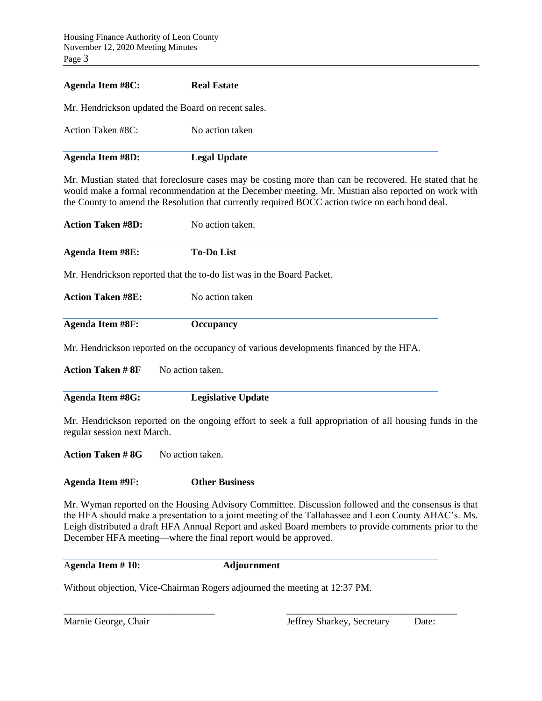| Agenda Item #8C:                                   | <b>Real Estate</b> |
|----------------------------------------------------|--------------------|
| Mr. Hendrickson updated the Board on recent sales. |                    |
| Action Taken #8C:                                  | No action taken    |

| <b>Agenda Item #8D:</b> | <b>Legal Update</b> |  |
|-------------------------|---------------------|--|

Mr. Mustian stated that foreclosure cases may be costing more than can be recovered. He stated that he would make a formal recommendation at the December meeting. Mr. Mustian also reported on work with the County to amend the Resolution that currently required BOCC action twice on each bond deal.

| <b>Action Taken #8D:</b> | No action taken.                                                                       |
|--------------------------|----------------------------------------------------------------------------------------|
| Agenda Item #8E:         | <b>To-Do List</b>                                                                      |
|                          | Mr. Hendrickson reported that the to-do list was in the Board Packet.                  |
| <b>Action Taken #8E:</b> | No action taken                                                                        |
| <b>Agenda Item #8F:</b>  | <b>Occupancy</b>                                                                       |
|                          | Mr. Hendrickson reported on the occupancy of various developments financed by the HFA. |
| <b>Action Taken # 8F</b> | No action taken.                                                                       |

| Agenda Item #8G: | <b>Legislative Update</b> |  |
|------------------|---------------------------|--|

Mr. Hendrickson reported on the ongoing effort to seek a full appropriation of all housing funds in the regular session next March.

Action Taken #8G No action taken.

**Agenda Item #9F: Other Business**

Mr. Wyman reported on the Housing Advisory Committee. Discussion followed and the consensus is that the HFA should make a presentation to a joint meeting of the Tallahassee and Leon County AHAC's. Ms. Leigh distributed a draft HFA Annual Report and asked Board members to provide comments prior to the December HFA meeting—where the final report would be approved.

A**genda Item # 10: Adjournment**

\_\_\_\_\_\_\_\_\_\_\_\_\_\_\_\_\_\_\_\_\_\_\_\_\_\_\_\_\_\_\_ \_\_\_\_\_\_\_\_\_\_\_\_\_\_\_\_\_\_\_\_\_\_\_\_\_\_\_\_\_\_\_\_\_\_\_

Without objection, Vice-Chairman Rogers adjourned the meeting at 12:37 PM.